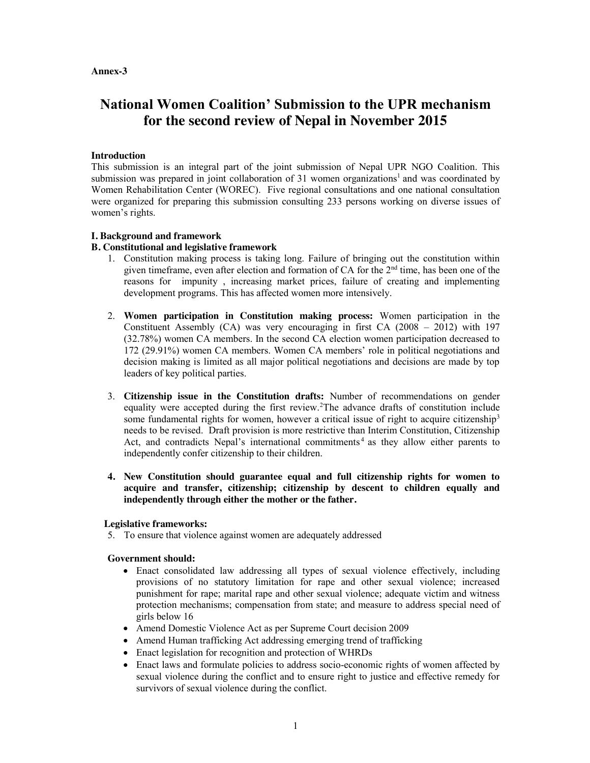#### **Annex-3**

# **National Women Coalition' Submission to the UPR mechanism for the second review of Nepal in November 2015**

# **Introduction**

This submission is an integral part of the joint submission of Nepal UPR NGO Coalition. This submission was prepared in joint collaboration of 31 women organizations<sup>1</sup> and was coordinated by Women Rehabilitation Center (WOREC). Five regional consultations and one national consultation were organized for preparing this submission consulting 233 persons working on diverse issues of women's rights.

# **I. Background and framework**

# **B. Constitutional and legislative framework**

- 1. Constitution making process is taking long. Failure of bringing out the constitution within given timeframe, even after election and formation of CA for the 2<sup>nd</sup> time, has been one of the reasons for impunity , increasing market prices, failure of creating and implementing development programs. This has affected women more intensively.
- 2. **Women participation in Constitution making process:** Women participation in the Constituent Assembly  $(CA)$  was very encouraging in first  $CA(2008 - 2012)$  with 197 (32.78%) women CA members. In the second CA election women participation decreased to 172 (29.91%) women CA members. Women CA members' role in political negotiations and decision making is limited as all major political negotiations and decisions are made by top leaders of key political parties.
- 3. **Citizenship issue in the Constitution drafts:** Number of recommendations on gender equality were accepted during the first review.<sup>2</sup>The advance drafts of constitution include some fundamental rights for women, however a critical issue of right to acquire citizenship<sup>3</sup> needs to be revised. Draft provision is more restrictive than Interim Constitution, Citizenship Act, and contradicts Nepal's international commitments<sup>4</sup> as they allow either parents to independently confer citizenship to their children.
- **4. New Constitution should guarantee equal and full citizenship rights for women to acquire and transfer, citizenship; citizenship by descent to children equally and independently through either the mother or the father.**

## **Legislative frameworks:**

5. To ensure that violence against women are adequately addressed

## **Government should:**

- Enact consolidated law addressing all types of sexual violence effectively, including provisions of no statutory limitation for rape and other sexual violence; increased punishment for rape; marital rape and other sexual violence; adequate victim and witness protection mechanisms; compensation from state; and measure to address special need of girls below 16
- Amend Domestic Violence Act as per Supreme Court decision 2009
- Amend Human trafficking Act addressing emerging trend of trafficking
- Enact legislation for recognition and protection of WHRDs
- Enact laws and formulate policies to address socio-economic rights of women affected by sexual violence during the conflict and to ensure right to justice and effective remedy for survivors of sexual violence during the conflict.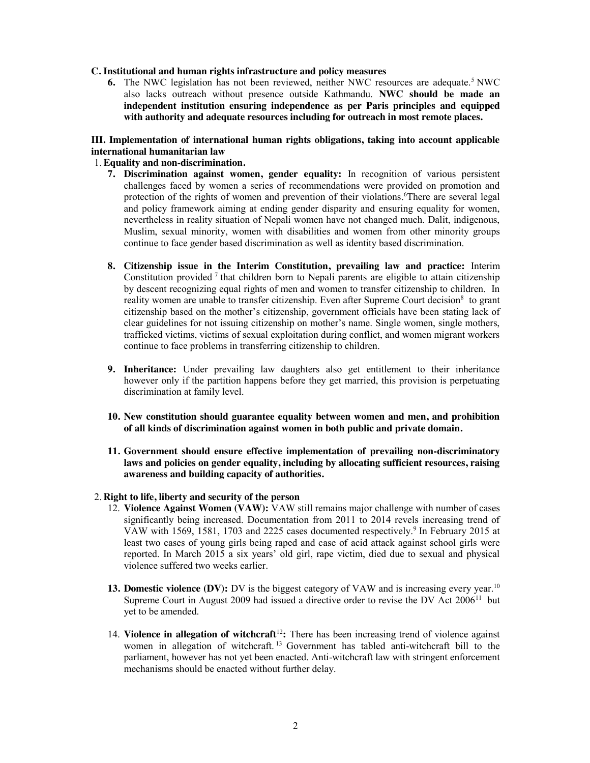#### **C. Institutional and human rights infrastructure and policy measures**

**6.** The NWC legislation has not been reviewed, neither NWC resources are adequate.<sup>5</sup> NWC also lacks outreach without presence outside Kathmandu. **NWC should be made an independent institution ensuring independence as per Paris principles and equipped with authority and adequate resources including for outreach in most remote places.** 

## **III. Implementation of international human rights obligations, taking into account applicable international humanitarian law**

### 1. **Equality and non-discrimination.**

- **7. Discrimination against women, gender equality:** In recognition of various persistent challenges faced by women a series of recommendations were provided on promotion and protection of the rights of women and prevention of their violations. 6 There are several legal and policy framework aiming at ending gender disparity and ensuring equality for women, nevertheless in reality situation of Nepali women have not changed much. Dalit, indigenous, Muslim, sexual minority, women with disabilities and women from other minority groups continue to face gender based discrimination as well as identity based discrimination.
- **8. Citizenship issue in the Interim Constitution, prevailing law and practice:** Interim Constitution provided  $\frac{7}{1}$  that children born to Nepali parents are eligible to attain citizenship by descent recognizing equal rights of men and women to transfer citizenship to children. In reality women are unable to transfer citizenship. Even after Supreme Court decision<sup>8</sup> to grant citizenship based on the mother's citizenship, government officials have been stating lack of clear guidelines for not issuing citizenship on mother's name. Single women, single mothers, trafficked victims, victims of sexual exploitation during conflict, and women migrant workers continue to face problems in transferring citizenship to children.
- **9. Inheritance:** Under prevailing law daughters also get entitlement to their inheritance however only if the partition happens before they get married, this provision is perpetuating discrimination at family level.
- **10. New constitution should guarantee equality between women and men, and prohibition of all kinds of discrimination against women in both public and private domain.**
- **11. Government should ensure effective implementation of prevailing non-discriminatory laws and policies on gender equality, including by allocating sufficient resources, raising awareness and building capacity of authorities.**

#### 2. **Right to life, liberty and security of the person**

- 12. **Violence Against Women (VAW):** VAW still remains major challenge with number of cases significantly being increased. Documentation from 2011 to 2014 revels increasing trend of VAW with 1569, 1581, 1703 and 2225 cases documented respectively.9 In February 2015 at least two cases of young girls being raped and case of acid attack against school girls were reported. In March 2015 a six years' old girl, rape victim, died due to sexual and physical violence suffered two weeks earlier.
- **13. Domestic violence (DV):** DV is the biggest category of VAW and is increasing every year.<sup>10</sup> Supreme Court in August 2009 had issued a directive order to revise the DV Act  $2006<sup>11</sup>$  but yet to be amended.
- 14. **Violence in allegation of witchcraft**<sup>12</sup>: There has been increasing trend of violence against women in allegation of witchcraft.<sup>13</sup> Government has tabled anti-witchcraft bill to the parliament, however has not yet been enacted. Anti-witchcraft law with stringent enforcement mechanisms should be enacted without further delay.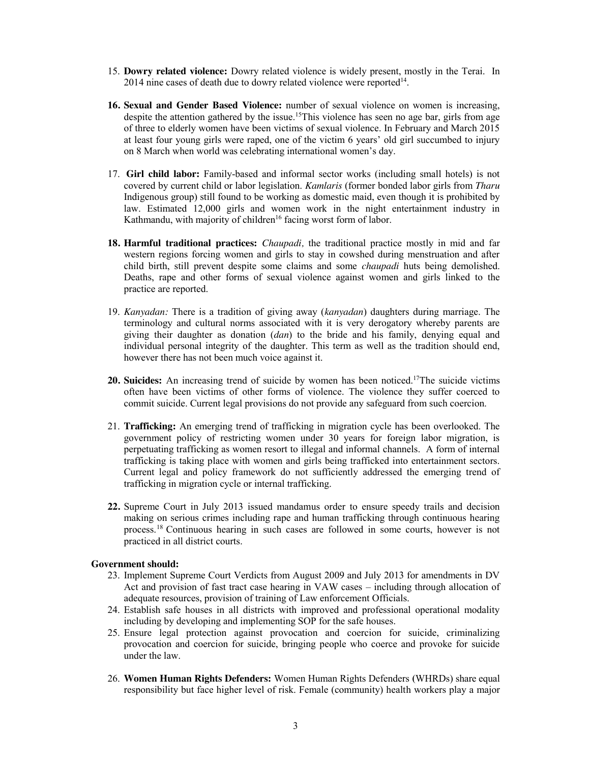- 15. **Dowry related violence:** Dowry related violence is widely present, mostly in the Terai. In  $2014$  nine cases of death due to dowry related violence were reported<sup>14</sup>.
- **16. Sexual and Gender Based Violence:** number of sexual violence on women is increasing, despite the attention gathered by the issue.<sup>15</sup>This violence has seen no age bar, girls from age of three to elderly women have been victims of sexual violence. In February and March 2015 at least four young girls were raped, one of the victim 6 years' old girl succumbed to injury on 8 March when world was celebrating international women's day.
- 17. **Girl child labor:** Family-based and informal sector works (including small hotels) is not covered by current child or labor legislation. *Kamlaris* (former bonded labor girls from *Tharu*  Indigenous group) still found to be working as domestic maid, even though it is prohibited by law. Estimated 12,000 girls and women work in the night entertainment industry in Kathmandu, with majority of children<sup>16</sup> facing worst form of labor.
- **18. Harmful traditional practices:** *Chaupadi,* the traditional practice mostly in mid and far western regions forcing women and girls to stay in cowshed during menstruation and after child birth, still prevent despite some claims and some *chaupadi* huts being demolished. Deaths, rape and other forms of sexual violence against women and girls linked to the practice are reported.
- 19. *Kanyadan:* There is a tradition of giving away (*kanyadan*) daughters during marriage. The terminology and cultural norms associated with it is very derogatory whereby parents are giving their daughter as donation (*dan*) to the bride and his family, denying equal and individual personal integrity of the daughter. This term as well as the tradition should end, however there has not been much voice against it.
- **20. Suicides:** An increasing trend of suicide by women has been noticed.17The suicide victims often have been victims of other forms of violence. The violence they suffer coerced to commit suicide. Current legal provisions do not provide any safeguard from such coercion.
- 21. **Trafficking:** An emerging trend of trafficking in migration cycle has been overlooked. The government policy of restricting women under 30 years for foreign labor migration, is perpetuating trafficking as women resort to illegal and informal channels. A form of internal trafficking is taking place with women and girls being trafficked into entertainment sectors. Current legal and policy framework do not sufficiently addressed the emerging trend of trafficking in migration cycle or internal trafficking.
- **22.** Supreme Court in July 2013 issued mandamus order to ensure speedy trails and decision making on serious crimes including rape and human trafficking through continuous hearing process.18 Continuous hearing in such cases are followed in some courts, however is not practiced in all district courts.

## **Government should:**

- 23. Implement Supreme Court Verdicts from August 2009 and July 2013 for amendments in DV Act and provision of fast tract case hearing in VAW cases – including through allocation of adequate resources, provision of training of Law enforcement Officials.
- 24. Establish safe houses in all districts with improved and professional operational modality including by developing and implementing SOP for the safe houses.
- 25. Ensure legal protection against provocation and coercion for suicide, criminalizing provocation and coercion for suicide, bringing people who coerce and provoke for suicide under the law.
- 26. **Women Human Rights Defenders:** Women Human Rights Defenders **(**WHRDs) share equal responsibility but face higher level of risk. Female (community) health workers play a major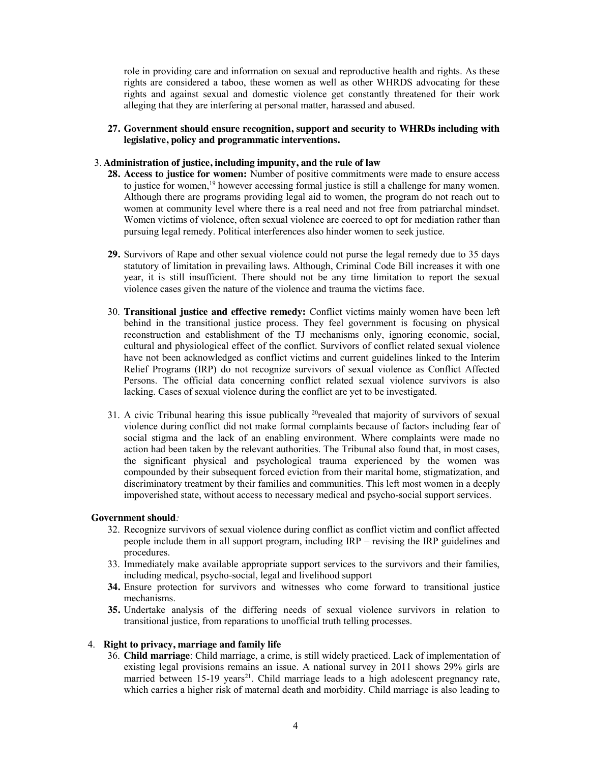role in providing care and information on sexual and reproductive health and rights. As these rights are considered a taboo, these women as well as other WHRDS advocating for these rights and against sexual and domestic violence get constantly threatened for their work alleging that they are interfering at personal matter, harassed and abused.

**27. Government should ensure recognition, support and security to WHRDs including with legislative, policy and programmatic interventions.** 

#### 3. **Administration of justice, including impunity, and the rule of law**

- **28. Access to justice for women:** Number of positive commitments were made to ensure access to justice for women,<sup>19</sup> however accessing formal justice is still a challenge for many women. Although there are programs providing legal aid to women, the program do not reach out to women at community level where there is a real need and not free from patriarchal mindset. Women victims of violence, often sexual violence are coerced to opt for mediation rather than pursuing legal remedy. Political interferences also hinder women to seek justice.
- **29.** Survivors of Rape and other sexual violence could not purse the legal remedy due to 35 days statutory of limitation in prevailing laws. Although, Criminal Code Bill increases it with one year, it is still insufficient. There should not be any time limitation to report the sexual violence cases given the nature of the violence and trauma the victims face.
- 30. **Transitional justice and effective remedy:** Conflict victims mainly women have been left behind in the transitional justice process. They feel government is focusing on physical reconstruction and establishment of the TJ mechanisms only, ignoring economic, social, cultural and physiological effect of the conflict. Survivors of conflict related sexual violence have not been acknowledged as conflict victims and current guidelines linked to the Interim Relief Programs (IRP) do not recognize survivors of sexual violence as Conflict Affected Persons. The official data concerning conflict related sexual violence survivors is also lacking. Cases of sexual violence during the conflict are yet to be investigated.
- 31. A civic Tribunal hearing this issue publically <sup>20</sup>revealed that majority of survivors of sexual violence during conflict did not make formal complaints because of factors including fear of social stigma and the lack of an enabling environment. Where complaints were made no action had been taken by the relevant authorities. The Tribunal also found that, in most cases, the significant physical and psychological trauma experienced by the women was compounded by their subsequent forced eviction from their marital home, stigmatization, and discriminatory treatment by their families and communities. This left most women in a deeply impoverished state, without access to necessary medical and psycho-social support services.

#### **Government should***:*

- 32. Recognize survivors of sexual violence during conflict as conflict victim and conflict affected people include them in all support program, including IRP – revising the IRP guidelines and procedures.
- 33. Immediately make available appropriate support services to the survivors and their families, including medical, psycho-social, legal and livelihood support
- **34.** Ensure protection for survivors and witnesses who come forward to transitional justice mechanisms.
- **35.** Undertake analysis of the differing needs of sexual violence survivors in relation to transitional justice, from reparations to unofficial truth telling processes.

## 4. **Right to privacy, marriage and family life**

36. **Child marriage**: Child marriage, a crime, is still widely practiced. Lack of implementation of existing legal provisions remains an issue. A national survey in 2011 shows 29% girls are married between  $15-19$  years<sup>21</sup>. Child marriage leads to a high adolescent pregnancy rate, which carries a higher risk of maternal death and morbidity. Child marriage is also leading to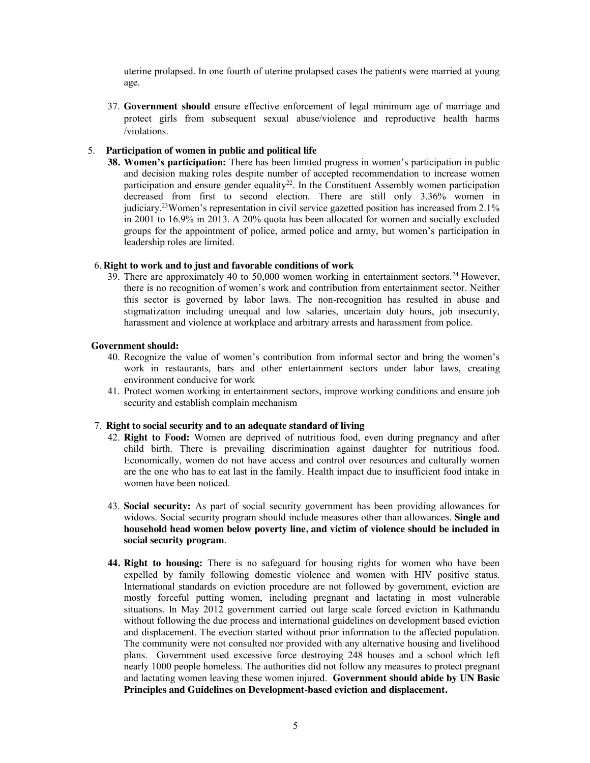uterine prolapsed. In one fourth of uterine prolapsed cases the patients were married at young age.

37. **Government should** ensure effective enforcement of legal minimum age of marriage and protect girls from subsequent sexual abuse/violence and reproductive health harms /violations.

#### 5. **Participation of women in public and political life**

**38. Women's participation:** There has been limited progress in women's participation in public and decision making roles despite number of accepted recommendation to increase women participation and ensure gender equality<sup>22</sup>. In the Constituent Assembly women participation decreased from first to second election. There are still only 3.36% women in judiciary.23Women's representation in civil service gazetted position has increased from 2.1% in 2001 to 16.9% in 2013. A 20% quota has been allocated for women and socially excluded groups for the appointment of police, armed police and army, but women's participation in leadership roles are limited.

#### 6. **Right to work and to just and favorable conditions of work**

 $39$ . There are approximately 40 to 50,000 women working in entertainment sectors.<sup>24</sup> However, there is no recognition of women's work and contribution from entertainment sector. Neither this sector is governed by labor laws. The non-recognition has resulted in abuse and stigmatization including unequal and low salaries, uncertain duty hours, job insecurity, harassment and violence at workplace and arbitrary arrests and harassment from police.

#### **Government should:**

- 40. Recognize the value of women's contribution from informal sector and bring the women's work in restaurants, bars and other entertainment sectors under labor laws, creating environment conducive for work
- 41. Protect women working in entertainment sectors, improve working conditions and ensure job security and establish complain mechanism

### 7. **Right to social security and to an adequate standard of living**

- 42. **Right to Food:** Women are deprived of nutritious food, even during pregnancy and after child birth. There is prevailing discrimination against daughter for nutritious food. Economically, women do not have access and control over resources and culturally women are the one who has to eat last in the family. Health impact due to insufficient food intake in women have been noticed.
- 43. **Social security:** As part of social security government has been providing allowances for widows. Social security program should include measures other than allowances. **Single and household head women below poverty line, and victim of violence should be included in social security program**.
- **44. Right to housing:** There is no safeguard for housing rights for women who have been expelled by family following domestic violence and women with HIV positive status. International standards on eviction procedure are not followed by government, eviction are mostly forceful putting women, including pregnant and lactating in most vulnerable situations. In May 2012 government carried out large scale forced eviction in Kathmandu without following the due process and international guidelines on development based eviction and displacement. The evection started without prior information to the affected population. The community were not consulted nor provided with any alternative housing and livelihood plans. Government used excessive force destroying 248 houses and a school which left nearly 1000 people homeless. The authorities did not follow any measures to protect pregnant and lactating women leaving these women injured. **Government should abide by UN Basic Principles and Guidelines on Development-based eviction and displacement.**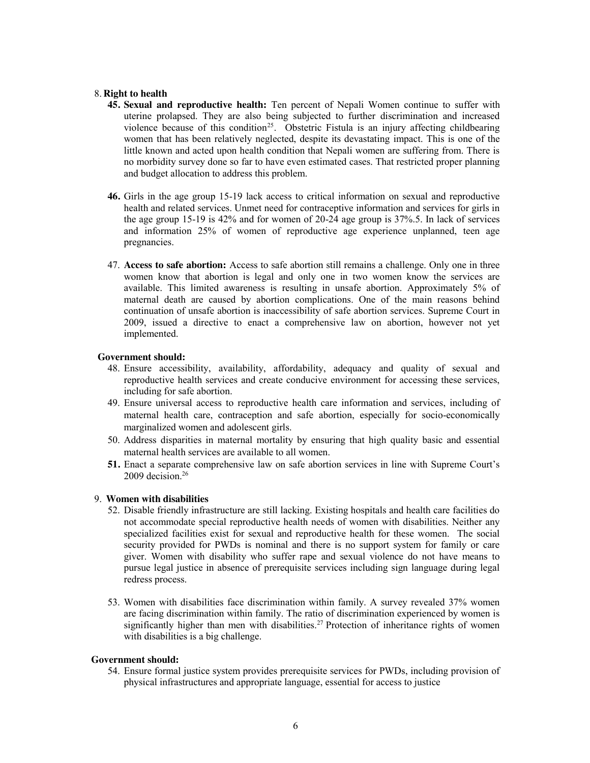#### 8. **Right to health**

- **45. Sexual and reproductive health:** Ten percent of Nepali Women continue to suffer with uterine prolapsed. They are also being subjected to further discrimination and increased violence because of this condition<sup>25</sup>. Obstetric Fistula is an injury affecting childbearing women that has been relatively neglected, despite its devastating impact. This is one of the little known and acted upon health condition that Nepali women are suffering from. There is no morbidity survey done so far to have even estimated cases. That restricted proper planning and budget allocation to address this problem.
- **46.** Girls in the age group 15-19 lack access to critical information on sexual and reproductive health and related services. Unmet need for contraceptive information and services for girls in the age group 15-19 is 42% and for women of 20-24 age group is 37%.5. In lack of services and information 25% of women of reproductive age experience unplanned, teen age pregnancies.
- 47. **Access to safe abortion:** Access to safe abortion still remains a challenge. Only one in three women know that abortion is legal and only one in two women know the services are available. This limited awareness is resulting in unsafe abortion. Approximately 5% of maternal death are caused by abortion complications. One of the main reasons behind continuation of unsafe abortion is inaccessibility of safe abortion services. Supreme Court in 2009, issued a directive to enact a comprehensive law on abortion, however not yet implemented.

#### **Government should:**

- 48. Ensure accessibility, availability, affordability, adequacy and quality of sexual and reproductive health services and create conducive environment for accessing these services, including for safe abortion.
- 49. Ensure universal access to reproductive health care information and services, including of maternal health care, contraception and safe abortion, especially for socio-economically marginalized women and adolescent girls.
- 50. Address disparities in maternal mortality by ensuring that high quality basic and essential maternal health services are available to all women.
- **51.** Enact a separate comprehensive law on safe abortion services in line with Supreme Court's 2009 decision.<sup>26</sup>

# 9. **Women with disabilities**

- 52. Disable friendly infrastructure are still lacking. Existing hospitals and health care facilities do not accommodate special reproductive health needs of women with disabilities. Neither any specialized facilities exist for sexual and reproductive health for these women. The social security provided for PWDs is nominal and there is no support system for family or care giver. Women with disability who suffer rape and sexual violence do not have means to pursue legal justice in absence of prerequisite services including sign language during legal redress process.
- 53. Women with disabilities face discrimination within family. A survey revealed 37% women are facing discrimination within family. The ratio of discrimination experienced by women is significantly higher than men with disabilities.<sup>27</sup> Protection of inheritance rights of women with disabilities is a big challenge.

## **Government should:**

54. Ensure formal justice system provides prerequisite services for PWDs, including provision of physical infrastructures and appropriate language, essential for access to justice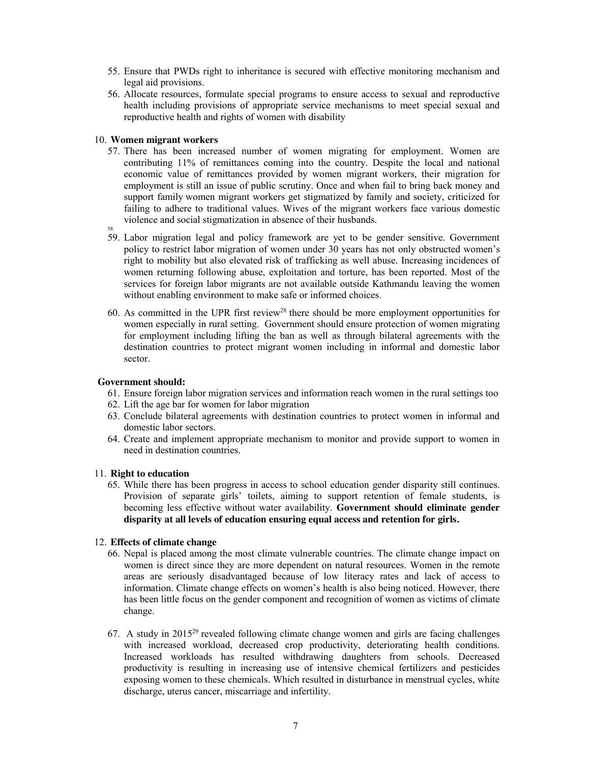- 55. Ensure that PWDs right to inheritance is secured with effective monitoring mechanism and legal aid provisions.
- 56. Allocate resources, formulate special programs to ensure access to sexual and reproductive health including provisions of appropriate service mechanisms to meet special sexual and reproductive health and rights of women with disability

## 10. **Women migrant workers**

- 57. There has been increased number of women migrating for employment. Women are contributing 11% of remittances coming into the country. Despite the local and national economic value of remittances provided by women migrant workers, their migration for employment is still an issue of public scrutiny. Once and when fail to bring back money and support family women migrant workers get stigmatized by family and society, criticized for failing to adhere to traditional values. Wives of the migrant workers face various domestic violence and social stigmatization in absence of their husbands.
- 58. 59. Labor migration legal and policy framework are yet to be gender sensitive. Government policy to restrict labor migration of women under 30 years has not only obstructed women's right to mobility but also elevated risk of trafficking as well abuse. Increasing incidences of women returning following abuse, exploitation and torture, has been reported. Most of the services for foreign labor migrants are not available outside Kathmandu leaving the women without enabling environment to make safe or informed choices.
- 60. As committed in the UPR first review28 there should be more employment opportunities for women especially in rural setting. Government should ensure protection of women migrating for employment including lifting the ban as well as through bilateral agreements with the destination countries to protect migrant women including in informal and domestic labor sector.

## **Government should:**

- 61. Ensure foreign labor migration services and information reach women in the rural settings too
- 62. Lift the age bar for women for labor migration
- 63. Conclude bilateral agreements with destination countries to protect women in informal and domestic labor sectors.
- 64. Create and implement appropriate mechanism to monitor and provide support to women in need in destination countries.

#### 11. **Right to education**

65. While there has been progress in access to school education gender disparity still continues. Provision of separate girls' toilets, aiming to support retention of female students, is becoming less effective without water availability. **Government should eliminate gender disparity at all levels of education ensuring equal access and retention for girls.**

## 12. **Effects of climate change**

- 66. Nepal is placed among the most climate vulnerable countries. The climate change impact on women is direct since they are more dependent on natural resources. Women in the remote areas are seriously disadvantaged because of low literacy rates and lack of access to information. Climate change effects on women's health is also being noticed. However, there has been little focus on the gender component and recognition of women as victims of climate change.
- 67. A study in 201529 revealed following climate change women and girls are facing challenges with increased workload, decreased crop productivity, deteriorating health conditions. Increased workloads has resulted withdrawing daughters from schools. Decreased productivity is resulting in increasing use of intensive chemical fertilizers and pesticides exposing women to these chemicals. Which resulted in disturbance in menstrual cycles, white discharge, uterus cancer, miscarriage and infertility.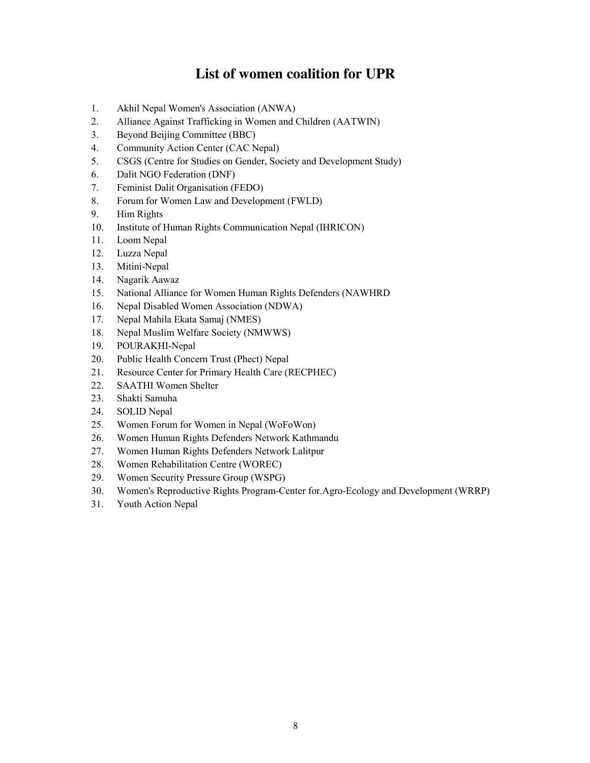# **List of women coalition for UPR**

- 1. Akhil Nepal Women's Association (ANWA)
- 2. Alliance Against Trafficking in Women and Children (AATWIN)
- 3. Beyond Beijing Committee (BBC)
- 4. Community Action Center (CAC Nepal)
- 5. CSGS (Centre for Studies on Gender, Society and Development Study)
- 6. Dalit NGO Federation (DNF)
- 7. Feminist Dalit Organisation (FEDO)
- 8. Forum for Women Law and Development (FWLD)
- 9. Him Rights
- 10. Institute of Human Rights Communication Nepal (IHRICON)
- 11. Loom Nepal
- 12. Luzza Nepal
- 13. Mitini-Nepal
- 14. Nagarik Aawaz
- 15. National Alliance for Women Human Rights Defenders (NAWHRD
- 16. Nepal Disabled Women Association (NDWA)
- 17. Nepal Mahila Ekata Samaj (NMES)
- 18. Nepal Muslim Welfare Society (NMWWS)
- 19. POURAKHI-Nepal
- 20. Public Health Concern Trust (Phect) Nepal
- 21. Resource Center for Primary Health Care (RECPHEC)
- 22. SAATHI Women Shelter
- 23. Shakti Samuha
- 24. SOLID Nepal
- 25. Women Forum for Women in Nepal (WoFoWon)
- 26. Women Human Rights Defenders Network Kathmandu
- 27. Women Human Rights Defenders Network Lalitpur
- 28. Women Rehabilitation Centre (WOREC)
- 29. Women Security Pressure Group (WSPG)
- 30. Women's Reproductive Rights Program-Center for.Agro-Ecology and Development (WRRP)
- 31. Youth Action Nepal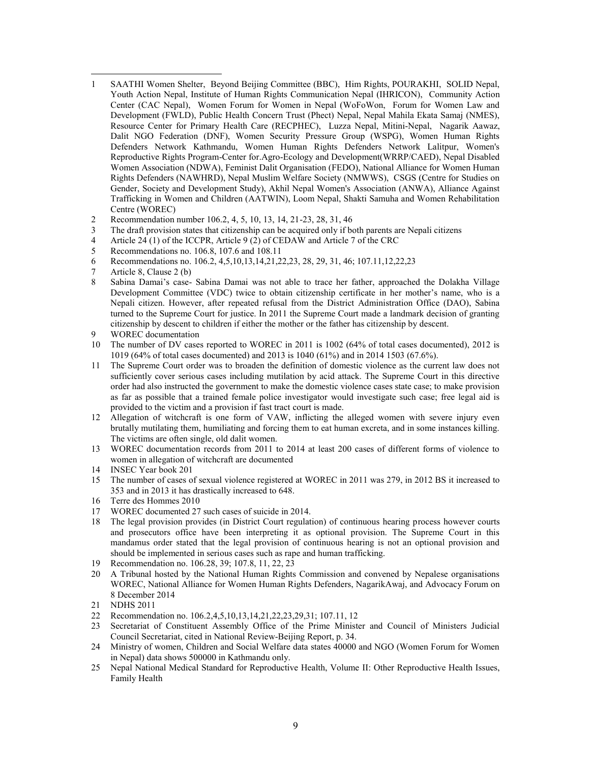- l 1 SAATHI Women Shelter, Beyond Beijing Committee (BBC), Him Rights, POURAKHI, SOLID Nepal, Youth Action Nepal, Institute of Human Rights Communication Nepal (IHRICON), Community Action Center (CAC Nepal), Women Forum for Women in Nepal (WoFoWon, Forum for Women Law and Development (FWLD), Public Health Concern Trust (Phect) Nepal, Nepal Mahila Ekata Samaj (NMES), Resource Center for Primary Health Care (RECPHEC), Luzza Nepal, Mitini-Nepal, Nagarik Aawaz, Dalit NGO Federation (DNF), Women Security Pressure Group (WSPG), Women Human Rights Defenders Network Kathmandu, Women Human Rights Defenders Network Lalitpur, Women's Reproductive Rights Program-Center for.Agro-Ecology and Development(WRRP/CAED), Nepal Disabled Women Association (NDWA), Feminist Dalit Organisation (FEDO), National Alliance for Women Human Rights Defenders (NAWHRD), Nepal Muslim Welfare Society (NMWWS), CSGS (Centre for Studies on Gender, Society and Development Study), Akhil Nepal Women's Association (ANWA), Alliance Against Trafficking in Women and Children (AATWIN), Loom Nepal, Shakti Samuha and Women Rehabilitation Centre (WOREC)
- 2 Recommendation number 106.2, 4, 5, 10, 13, 14, 21-23, 28, 31, 46
- 3 The draft provision states that citizenship can be acquired only if both parents are Nepali citizens
- 4 Article 24 (1) of the ICCPR, Article 9 (2) of CEDAW and Article 7 of the CRC<br>5 Recommendations no. 106.8, 107.6 and 108.11
- 5 Recommendations no. 106.8, 107.6 and 108.11
- 6 Recommendations no. 106.2, 4,5,10,13,14,21,22,23, 28, 29, 31, 46; 107.11,12,22,23
- 7 Article 8, Clause 2 (b)
- 8 Sabina Damai's case- Sabina Damai was not able to trace her father, approached the Dolakha Village Development Committee (VDC) twice to obtain citizenship certificate in her mother's name, who is a Nepali citizen. However, after repeated refusal from the District Administration Office (DAO), Sabina turned to the Supreme Court for justice. In 2011 the Supreme Court made a landmark decision of granting citizenship by descent to children if either the mother or the father has citizenship by descent.
- 9 WOREC documentation
- 10 The number of DV cases reported to WOREC in 2011 is 1002 (64% of total cases documented), 2012 is 1019 (64% of total cases documented) and 2013 is 1040 (61%) and in 2014 1503 (67.6%).
- 11 The Supreme Court order was to broaden the definition of domestic violence as the current law does not sufficiently cover serious cases including mutilation by acid attack. The Supreme Court in this directive order had also instructed the government to make the domestic violence cases state case; to make provision as far as possible that a trained female police investigator would investigate such case; free legal aid is provided to the victim and a provision if fast tract court is made.
- 12 Allegation of witchcraft is one form of VAW, inflicting the alleged women with severe injury even brutally mutilating them, humiliating and forcing them to eat human excreta, and in some instances killing. The victims are often single, old dalit women.
- 13 WOREC documentation records from 2011 to 2014 at least 200 cases of different forms of violence to women in allegation of witchcraft are documented
- 14 INSEC Year book 201
- 15 The number of cases of sexual violence registered at WOREC in 2011 was 279, in 2012 BS it increased to 353 and in 2013 it has drastically increased to 648.
- 16 Terre des Hommes 2010
- 17 WOREC documented 27 such cases of suicide in 2014.
- 18 The legal provision provides (in District Court regulation) of continuous hearing process however courts and prosecutors office have been interpreting it as optional provision. The Supreme Court in this mandamus order stated that the legal provision of continuous hearing is not an optional provision and should be implemented in serious cases such as rape and human trafficking.
- 19 Recommendation no. 106.28, 39; 107.8, 11, 22, 23
- 20 A Tribunal hosted by the National Human Rights Commission and convened by Nepalese organisations WOREC, National Alliance for Women Human Rights Defenders, NagarikAwaj, and Advocacy Forum on 8 December 2014
- 21 NDHS 2011
- 22 Recommendation no. 106.2,4,5,10,13,14,21,22,23,29,31; 107.11, 12
- 23 Secretariat of Constituent Assembly Office of the Prime Minister and Council of Ministers Judicial Council Secretariat, cited in National Review-Beijing Report, p. 34.
- 24 Ministry of women, Children and Social Welfare data states 40000 and NGO (Women Forum for Women in Nepal) data shows 500000 in Kathmandu only.
- 25 Nepal National Medical Standard for Reproductive Health, Volume II: Other Reproductive Health Issues, Family Health